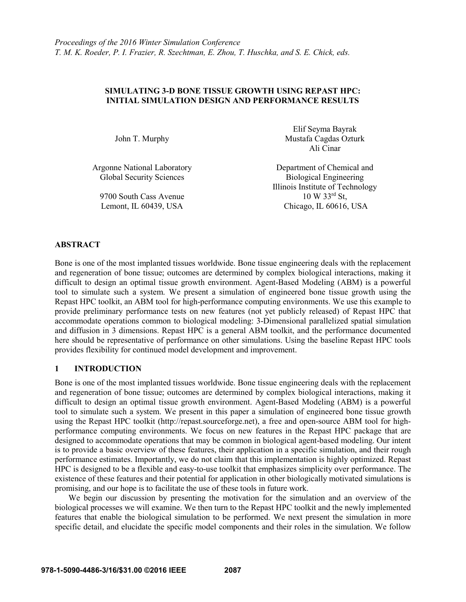# **SIMULATING 3-D BONE TISSUE GROWTH USING REPAST HPC: INITIAL SIMULATION DESIGN AND PERFORMANCE RESULTS**

John T. Murphy

Argonne National Laboratory Global Security Sciences

9700 South Cass Avenue Lemont, IL 60439, USA

Elif Seyma Bayrak Mustafa Cagdas Ozturk Ali Cinar

Department of Chemical and Biological Engineering Illinois Institute of Technology 10 W 33rd St, Chicago, IL 60616, USA

# **ABSTRACT**

Bone is one of the most implanted tissues worldwide. Bone tissue engineering deals with the replacement and regeneration of bone tissue; outcomes are determined by complex biological interactions, making it difficult to design an optimal tissue growth environment. Agent-Based Modeling (ABM) is a powerful tool to simulate such a system. We present a simulation of engineered bone tissue growth using the Repast HPC toolkit, an ABM tool for high-performance computing environments. We use this example to provide preliminary performance tests on new features (not yet publicly released) of Repast HPC that accommodate operations common to biological modeling: 3-Dimensional parallelized spatial simulation and diffusion in 3 dimensions. Repast HPC is a general ABM toolkit, and the performance documented here should be representative of performance on other simulations. Using the baseline Repast HPC tools provides flexibility for continued model development and improvement.

# **1 INTRODUCTION**

Bone is one of the most implanted tissues worldwide. Bone tissue engineering deals with the replacement and regeneration of bone tissue; outcomes are determined by complex biological interactions, making it difficult to design an optimal tissue growth environment. Agent-Based Modeling (ABM) is a powerful tool to simulate such a system. We present in this paper a simulation of engineered bone tissue growth using the Repast HPC toolkit (http://repast.sourceforge.net), a free and open-source ABM tool for highperformance computing environments. We focus on new features in the Repast HPC package that are designed to accommodate operations that may be common in biological agent-based modeling. Our intent is to provide a basic overview of these features, their application in a specific simulation, and their rough performance estimates. Importantly, we do not claim that this implementation is highly optimized. Repast HPC is designed to be a flexible and easy-to-use toolkit that emphasizes simplicity over performance. The existence of these features and their potential for application in other biologically motivated simulations is promising, and our hope is to facilitate the use of these tools in future work.

We begin our discussion by presenting the motivation for the simulation and an overview of the biological processes we will examine. We then turn to the Repast HPC toolkit and the newly implemented features that enable the biological simulation to be performed. We next present the simulation in more specific detail, and elucidate the specific model components and their roles in the simulation. We follow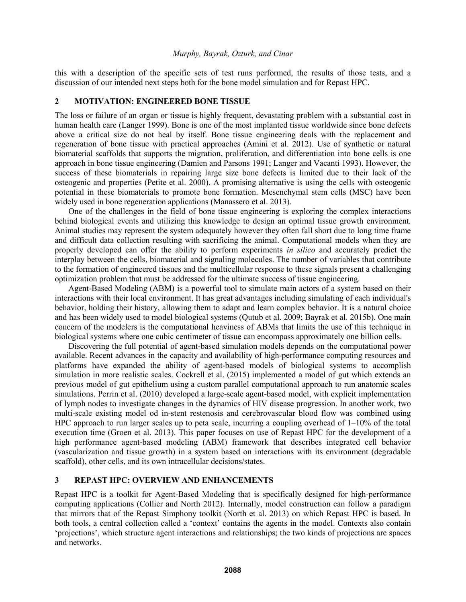this with a description of the specific sets of test runs performed, the results of those tests, and a discussion of our intended next steps both for the bone model simulation and for Repast HPC.

## **2 MOTIVATION: ENGINEERED BONE TISSUE**

The loss or failure of an organ or tissue is highly frequent, devastating problem with a substantial cost in human health care (Langer 1999). Bone is one of the most implanted tissue worldwide since bone defects above a critical size do not heal by itself. Bone tissue engineering deals with the replacement and regeneration of bone tissue with practical approaches (Amini et al. 2012). Use of synthetic or natural biomaterial scaffolds that supports the migration, proliferation, and differentiation into bone cells is one approach in bone tissue engineering (Damien and Parsons 1991; Langer and Vacanti 1993). However, the success of these biomaterials in repairing large size bone defects is limited due to their lack of the osteogenic and properties (Petite et al. 2000). A promising alternative is using the cells with osteogenic potential in these biomaterials to promote bone formation. Mesenchymal stem cells (MSC) have been widely used in bone regeneration applications (Manassero et al. 2013).

One of the challenges in the field of bone tissue engineering is exploring the complex interactions behind biological events and utilizing this knowledge to design an optimal tissue growth environment. Animal studies may represent the system adequately however they often fall short due to long time frame and difficult data collection resulting with sacrificing the animal. Computational models when they are properly developed can offer the ability to perform experiments *in silico* and accurately predict the interplay between the cells, biomaterial and signaling molecules. The number of variables that contribute to the formation of engineered tissues and the multicellular response to these signals present a challenging optimization problem that must be addressed for the ultimate success of tissue engineering.

Agent-Based Modeling (ABM) is a powerful tool to simulate main actors of a system based on their interactions with their local environment. It has great advantages including simulating of each individual's behavior, holding their history, allowing them to adapt and learn complex behavior. It is a natural choice and has been widely used to model biological systems (Qutub et al. 2009; Bayrak et al. 2015b). One main concern of the modelers is the computational heaviness of ABMs that limits the use of this technique in biological systems where one cubic centimeter of tissue can encompass approximately one billion cells.

Discovering the full potential of agent-based simulation models depends on the computational power available. Recent advances in the capacity and availability of high-performance computing resources and platforms have expanded the ability of agent-based models of biological systems to accomplish simulation in more realistic scales. Cockrell et al. (2015) implemented a model of gut which extends an previous model of gut epithelium using a custom parallel computational approach to run anatomic scales simulations. Perrin et al. (2010) developed a large-scale agent-based model, with explicit implementation of lymph nodes to investigate changes in the dynamics of HIV disease progression. In another work, two multi-scale existing model od in-stent restenosis and cerebrovascular blood flow was combined using HPC approach to run larger scales up to peta scale, incurring a coupling overhead of  $1-10\%$  of the total execution time (Groen et al. 2013). This paper focuses on use of Repast HPC for the development of a high performance agent-based modeling (ABM) framework that describes integrated cell behavior (vascularization and tissue growth) in a system based on interactions with its environment (degradable scaffold), other cells, and its own intracellular decisions/states.

### **3 REPAST HPC: OVERVIEW AND ENHANCEMENTS**

Repast HPC is a toolkit for Agent-Based Modeling that is specifically designed for high-performance computing applications (Collier and North 2012). Internally, model construction can follow a paradigm that mirrors that of the Repast Simphony toolkit (North et al. 2013) on which Repast HPC is based. In both tools, a central collection called a 'context' contains the agents in the model. Contexts also contain 'projections', which structure agent interactions and relationships; the two kinds of projections are spaces and networks.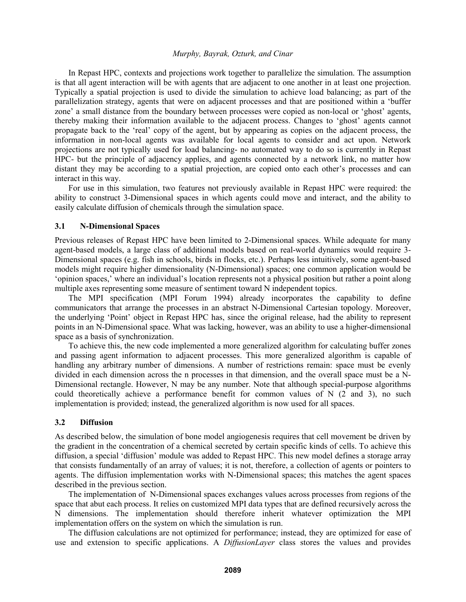In Repast HPC, contexts and projections work together to parallelize the simulation. The assumption is that all agent interaction will be with agents that are adjacent to one another in at least one projection. Typically a spatial projection is used to divide the simulation to achieve load balancing; as part of the parallelization strategy, agents that were on adjacent processes and that are positioned within a 'buffer zone' a small distance from the boundary between processes were copied as non-local or 'ghost' agents, thereby making their information available to the adjacent process. Changes to 'ghost' agents cannot propagate back to the 'real' copy of the agent, but by appearing as copies on the adjacent process, the information in non-local agents was available for local agents to consider and act upon. Network projections are not typically used for load balancing- no automated way to do so is currently in Repast HPC- but the principle of adjacency applies, and agents connected by a network link, no matter how distant they may be according to a spatial projection, are copied onto each other's processes and can interact in this way.

For use in this simulation, two features not previously available in Repast HPC were required: the ability to construct 3-Dimensional spaces in which agents could move and interact, and the ability to easily calculate diffusion of chemicals through the simulation space.

#### **3.1 N-Dimensional Spaces**

Previous releases of Repast HPC have been limited to 2-Dimensional spaces. While adequate for many agent-based models, a large class of additional models based on real-world dynamics would require 3- Dimensional spaces (e.g. fish in schools, birds in flocks, etc.). Perhaps less intuitively, some agent-based models might require higher dimensionality (N-Dimensional) spaces; one common application would be 'opinion spaces,' where an individual's location represents not a physical position but rather a point along multiple axes representing some measure of sentiment toward N independent topics.

The MPI specification (MPI Forum 1994) already incorporates the capability to define communicators that arrange the processes in an abstract N-Dimensional Cartesian topology. Moreover, the underlying 'Point' object in Repast HPC has, since the original release, had the ability to represent points in an N-Dimensional space. What was lacking, however, was an ability to use a higher-dimensional space as a basis of synchronization.

To achieve this, the new code implemented a more generalized algorithm for calculating buffer zones and passing agent information to adjacent processes. This more generalized algorithm is capable of handling any arbitrary number of dimensions. A number of restrictions remain: space must be evenly divided in each dimension across the n processes in that dimension, and the overall space must be a N-Dimensional rectangle. However, N may be any number. Note that although special-purpose algorithms could theoretically achieve a performance benefit for common values of  $N(2 \text{ and } 3)$ , no such implementation is provided; instead, the generalized algorithm is now used for all spaces.

### **3.2 Diffusion**

As described below, the simulation of bone model angiogenesis requires that cell movement be driven by the gradient in the concentration of a chemical secreted by certain specific kinds of cells. To achieve this diffusion, a special 'diffusion' module was added to Repast HPC. This new model defines a storage array that consists fundamentally of an array of values; it is not, therefore, a collection of agents or pointers to agents. The diffusion implementation works with N-Dimensional spaces; this matches the agent spaces described in the previous section.

The implementation of N-Dimensional spaces exchanges values across processes from regions of the space that abut each process. It relies on customized MPI data types that are defined recursively across the N dimensions. The implementation should therefore inherit whatever optimization the MPI implementation offers on the system on which the simulation is run.

The diffusion calculations are not optimized for performance; instead, they are optimized for ease of use and extension to specific applications. A *DiffusionLayer* class stores the values and provides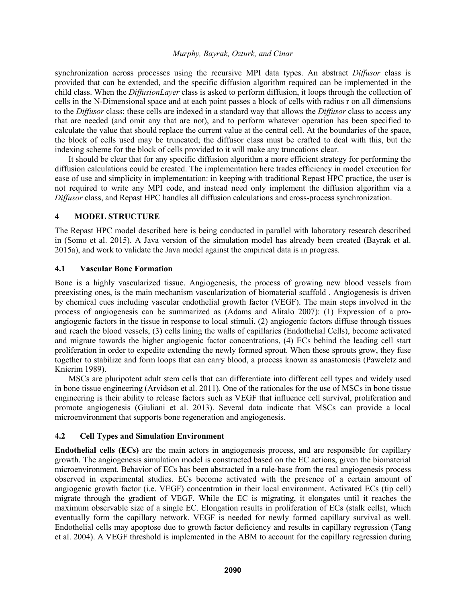synchronization across processes using the recursive MPI data types. An abstract *Diffusor* class is provided that can be extended, and the specific diffusion algorithm required can be implemented in the child class. When the *DiffusionLayer* class is asked to perform diffusion, it loops through the collection of cells in the N-Dimensional space and at each point passes a block of cells with radius r on all dimensions to the *Diffusor* class; these cells are indexed in a standard way that allows the *Diffusor* class to access any that are needed (and omit any that are not), and to perform whatever operation has been specified to calculate the value that should replace the current value at the central cell. At the boundaries of the space, the block of cells used may be truncated; the diffusor class must be crafted to deal with this, but the indexing scheme for the block of cells provided to it will make any truncations clear.

It should be clear that for any specific diffusion algorithm a more efficient strategy for performing the diffusion calculations could be created. The implementation here trades efficiency in model execution for ease of use and simplicity in implementation: in keeping with traditional Repast HPC practice, the user is not required to write any MPI code, and instead need only implement the diffusion algorithm via a *Diffusor* class, and Repast HPC handles all diffusion calculations and cross-process synchronization.

## **4 MODEL STRUCTURE**

The Repast HPC model described here is being conducted in parallel with laboratory research described in (Somo et al. 2015). A Java version of the simulation model has already been created (Bayrak et al. 2015a), and work to validate the Java model against the empirical data is in progress.

# **4.1 Vascular Bone Formation**

Bone is a highly vascularized tissue. Angiogenesis, the process of growing new blood vessels from preexisting ones, is the main mechanism vascularization of biomaterial scaffold . Angiogenesis is driven by chemical cues including vascular endothelial growth factor (VEGF). The main steps involved in the process of angiogenesis can be summarized as (Adams and Alitalo 2007): (1) Expression of a proangiogenic factors in the tissue in response to local stimuli, (2) angiogenic factors diffuse through tissues and reach the blood vessels, (3) cells lining the walls of capillaries (Endothelial Cells), become activated and migrate towards the higher angiogenic factor concentrations, (4) ECs behind the leading cell start proliferation in order to expedite extending the newly formed sprout. When these sprouts grow, they fuse together to stabilize and form loops that can carry blood, a process known as anastomosis (Paweletz and Knierim 1989).

MSCs are pluripotent adult stem cells that can differentiate into different cell types and widely used in bone tissue engineering (Arvidson et al. 2011). One of the rationales for the use of MSCs in bone tissue engineering is their ability to release factors such as VEGF that influence cell survival, proliferation and promote angiogenesis (Giuliani et al. 2013). Several data indicate that MSCs can provide a local microenvironment that supports bone regeneration and angiogenesis.

# **4.2 Cell Types and Simulation Environment**

**Endothelial cells (ECs)** are the main actors in angiogenesis process, and are responsible for capillary growth. The angiogenesis simulation model is constructed based on the EC actions, given the biomaterial microenvironment. Behavior of ECs has been abstracted in a rule-base from the real angiogenesis process observed in experimental studies. ECs become activated with the presence of a certain amount of angiogenic growth factor (i.e. VEGF) concentration in their local environment. Activated ECs (tip cell) migrate through the gradient of VEGF. While the EC is migrating, it elongates until it reaches the maximum observable size of a single EC. Elongation results in proliferation of ECs (stalk cells), which eventually form the capillary network. VEGF is needed for newly formed capillary survival as well. Endothelial cells may apoptose due to growth factor deficiency and results in capillary regression (Tang et al. 2004). A VEGF threshold is implemented in the ABM to account for the capillary regression during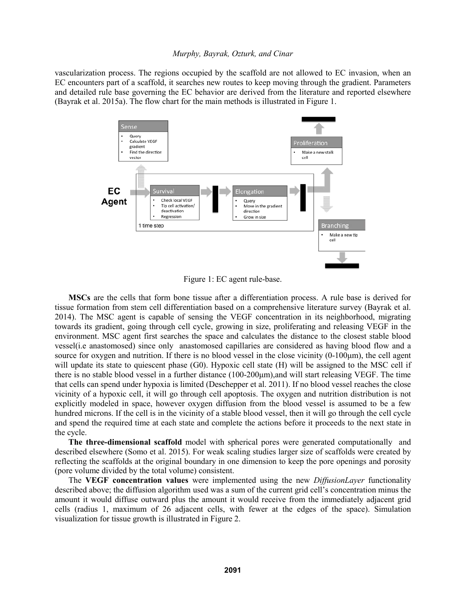vascularization process. The regions occupied by the scaffold are not allowed to EC invasion, when an EC encounters part of a scaffold, it searches new routes to keep moving through the gradient. Parameters and detailed rule base governing the EC behavior are derived from the literature and reported elsewhere (Bayrak et al. 2015a). The flow chart for the main methods is illustrated in Figure 1.



Figure 1: EC agent rule-base.

**MSCs** are the cells that form bone tissue after a differentiation process. A rule base is derived for tissue formation from stem cell differentiation based on a comprehensive literature survey (Bayrak et al. 2014). The MSC agent is capable of sensing the VEGF concentration in its neighborhood, migrating towards its gradient, going through cell cycle, growing in size, proliferating and releasing VEGF in the environment. MSC agent first searches the space and calculates the distance to the closest stable blood vessel(i.e anastomosed) since only anastomosed capillaries are considered as having blood flow and a source for oxygen and nutrition. If there is no blood vessel in the close vicinity (0-100μm), the cell agent will update its state to quiescent phase (G0). Hypoxic cell state (H) will be assigned to the MSC cell if there is no stable blood vessel in a further distance (100-200μm),and will start releasing VEGF. The time that cells can spend under hypoxia is limited (Deschepper et al. 2011). If no blood vessel reaches the close vicinity of a hypoxic cell, it will go through cell apoptosis. The oxygen and nutrition distribution is not explicitly modeled in space, however oxygen diffusion from the blood vessel is assumed to be a few hundred microns. If the cell is in the vicinity of a stable blood vessel, then it will go through the cell cycle and spend the required time at each state and complete the actions before it proceeds to the next state in the cycle.

**The three-dimensional scaffold** model with spherical pores were generated computationally and described elsewhere (Somo et al. 2015). For weak scaling studies larger size of scaffolds were created by reflecting the scaffolds at the original boundary in one dimension to keep the pore openings and porosity (pore volume divided by the total volume) consistent.

The **VEGF concentration values** were implemented using the new *DiffusionLayer* functionality described above; the diffusion algorithm used was a sum of the current grid cell's concentration minus the amount it would diffuse outward plus the amount it would receive from the immediately adjacent grid cells (radius 1, maximum of 26 adjacent cells, with fewer at the edges of the space). Simulation visualization for tissue growth is illustrated in Figure 2.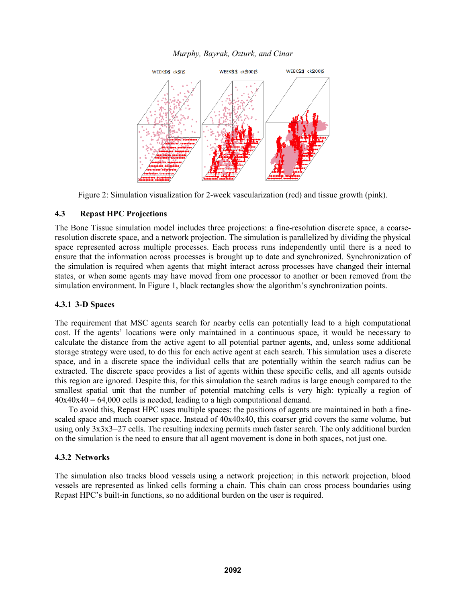

Figure 2: Simulation visualization for 2-week vascularization (red) and tissue growth (pink).

## **4.3 Repast HPC Projections**

The Bone Tissue simulation model includes three projections: a fine-resolution discrete space, a coarseresolution discrete space, and a network projection. The simulation is parallelized by dividing the physical space represented across multiple processes. Each process runs independently until there is a need to ensure that the information across processes is brought up to date and synchronized. Synchronization of the simulation is required when agents that might interact across processes have changed their internal states, or when some agents may have moved from one processor to another or been removed from the simulation environment. In Figure 1, black rectangles show the algorithm's synchronization points.

### **4.3.1 3-D Spaces**

The requirement that MSC agents search for nearby cells can potentially lead to a high computational cost. If the agents' locations were only maintained in a continuous space, it would be necessary to calculate the distance from the active agent to all potential partner agents, and, unless some additional storage strategy were used, to do this for each active agent at each search. This simulation uses a discrete space, and in a discrete space the individual cells that are potentially within the search radius can be extracted. The discrete space provides a list of agents within these specific cells, and all agents outside this region are ignored. Despite this, for this simulation the search radius is large enough compared to the smallest spatial unit that the number of potential matching cells is very high: typically a region of  $40x40x40 = 64,000$  cells is needed, leading to a high computational demand.

To avoid this, Repast HPC uses multiple spaces: the positions of agents are maintained in both a finescaled space and much coarser space. Instead of 40x40x40, this coarser grid covers the same volume, but using only  $3x3x3=27$  cells. The resulting indexing permits much faster search. The only additional burden on the simulation is the need to ensure that all agent movement is done in both spaces, not just one.

# **4.3.2 Networks**

The simulation also tracks blood vessels using a network projection; in this network projection, blood vessels are represented as linked cells forming a chain. This chain can cross process boundaries using Repast HPC's built-in functions, so no additional burden on the user is required.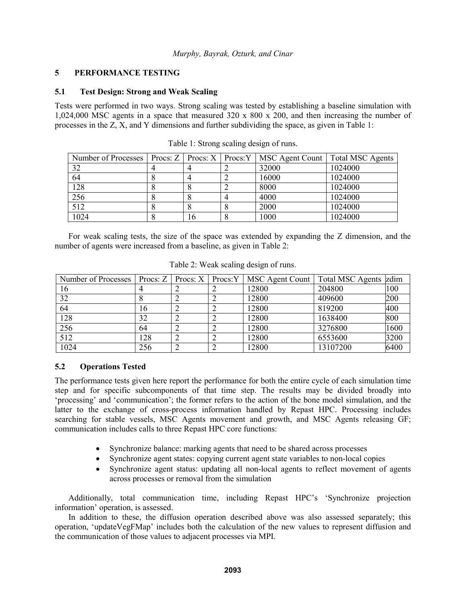# **5 PERFORMANCE TESTING**

# **5.1 Test Design: Strong and Weak Scaling**

Tests were performed in two ways. Strong scaling was tested by establishing a baseline simulation with 1,024,000 MSC agents in a space that measured 320 x 800 x 200, and then increasing the number of processes in the Z, X, and Y dimensions and further subdividing the space, as given in Table 1:

| Number of Processes |    |   |       | Procs: $Z \mid \text{Process: } X \mid \text{Process: } Y \mid \text{MSC Agent Count} \mid \text{Total MSC Agents}$ |
|---------------------|----|---|-------|---------------------------------------------------------------------------------------------------------------------|
| 32                  |    |   | 32000 | 1024000                                                                                                             |
| 64                  |    |   | 16000 | 1024000                                                                                                             |
| 128                 |    |   | 8000  | 1024000                                                                                                             |
| 256                 |    |   | 4000  | 1024000                                                                                                             |
| 512                 |    | ⋀ | 2000  | 1024000                                                                                                             |
| 1024                | 16 |   | 1000  | 1024000                                                                                                             |

Table 1: Strong scaling design of runs.

For weak scaling tests, the size of the space was extended by expanding the Z dimension, and the number of agents were increased from a baseline, as given in Table 2:

| Number of Processes |     |  | Procs: Z   Procs: X   Procs: Y   MSC Agent Count   Total MSC Agents   zdim |          |      |
|---------------------|-----|--|----------------------------------------------------------------------------|----------|------|
| 16                  |     |  | 12800                                                                      | 204800   | 100  |
| 32                  |     |  | 12800                                                                      | 409600   | 200  |
| 64                  | 16  |  | 12800                                                                      | 819200   | 400  |
| 128                 | 32  |  | 12800                                                                      | 1638400  | 800  |
| 256                 | 64  |  | 12800                                                                      | 3276800  | 1600 |
| 512                 | 128 |  | 12800                                                                      | 6553600  | 3200 |
| 1024                | 256 |  | 12800                                                                      | 13107200 | 6400 |

Table 2: Weak scaling design of runs.

# **5.2 Operations Tested**

The performance tests given here report the performance for both the entire cycle of each simulation time step and for specific subcomponents of that time step. The results may be divided broadly into 'processing' and 'communication'; the former refers to the action of the bone model simulation, and the latter to the exchange of cross-process information handled by Repast HPC. Processing includes searching for stable vessels, MSC Agents movement and growth, and MSC Agents releasing GF; communication includes calls to three Repast HPC core functions:

- Synchronize balance: marking agents that need to be shared across processes
- Synchronize agent states: copying current agent state variables to non-local copies
- Synchronize agent status: updating all non-local agents to reflect movement of agents across processes or removal from the simulation

Additionally, total communication time, including Repast HPC's 'Synchronize projection information' operation, is assessed.

In addition to these, the diffusion operation described above was also assessed separately; this operation, 'updateVegFMap' includes both the calculation of the new values to represent diffusion and the communication of those values to adjacent processes via MPI.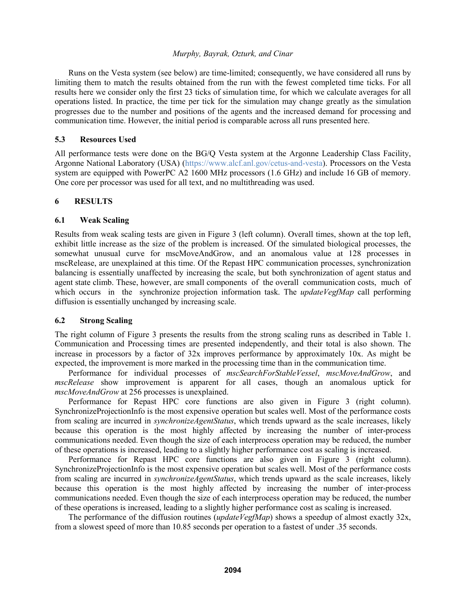Runs on the Vesta system (see below) are time-limited; consequently, we have considered all runs by limiting them to match the results obtained from the run with the fewest completed time ticks. For all results here we consider only the first 23 ticks of simulation time, for which we calculate averages for all operations listed. In practice, the time per tick for the simulation may change greatly as the simulation progresses due to the number and positions of the agents and the increased demand for processing and communication time. However, the initial period is comparable across all runs presented here.

## **5.3 Resources Used**

All performance tests were done on the BG/Q Vesta system at the Argonne Leadership Class Facility, Argonne National Laboratory (USA) (https://www.alcf.anl.gov/cetus-and-vesta). Processors on the Vesta system are equipped with PowerPC A2 1600 MHz processors (1.6 GHz) and include 16 GB of memory. One core per processor was used for all text, and no multithreading was used.

# **6 RESULTS**

# **6.1 Weak Scaling**

Results from weak scaling tests are given in Figure 3 (left column). Overall times, shown at the top left, exhibit little increase as the size of the problem is increased. Of the simulated biological processes, the somewhat unusual curve for mscMoveAndGrow, and an anomalous value at 128 processes in mscRelease, are unexplained at this time. Of the Repast HPC communication processes, synchronization balancing is essentially unaffected by increasing the scale, but both synchronization of agent status and agent state climb. These, however, are small components of the overall communication costs, much of which occurs in the synchronize projection information task. The *updateVegfMap* call performing diffusion is essentially unchanged by increasing scale.

# **6.2 Strong Scaling**

The right column of Figure 3 presents the results from the strong scaling runs as described in Table 1. Communication and Processing times are presented independently, and their total is also shown. The increase in processors by a factor of 32x improves performance by approximately 10x. As might be expected, the improvement is more marked in the processing time than in the communication time.

Performance for individual processes of *mscSearchForStableVessel*, *mscMoveAndGrow*, and *mscRelease* show improvement is apparent for all cases, though an anomalous uptick for *mscMoveAndGrow* at 256 processes is unexplained.

Performance for Repast HPC core functions are also given in Figure 3 (right column). SynchronizeProjectionInfo is the most expensive operation but scales well. Most of the performance costs from scaling are incurred in *synchronizeAgentStatus*, which trends upward as the scale increases, likely because this operation is the most highly affected by increasing the number of inter-process communications needed. Even though the size of each interprocess operation may be reduced, the number of these operations is increased, leading to a slightly higher performance cost as scaling is increased.

Performance for Repast HPC core functions are also given in Figure 3 (right column). SynchronizeProjectionInfo is the most expensive operation but scales well. Most of the performance costs from scaling are incurred in *synchronizeAgentStatus*, which trends upward as the scale increases, likely because this operation is the most highly affected by increasing the number of inter-process communications needed. Even though the size of each interprocess operation may be reduced, the number of these operations is increased, leading to a slightly higher performance cost as scaling is increased.

The performance of the diffusion routines (*updateVegfMap*) shows a speedup of almost exactly 32x, from a slowest speed of more than 10.85 seconds per operation to a fastest of under .35 seconds.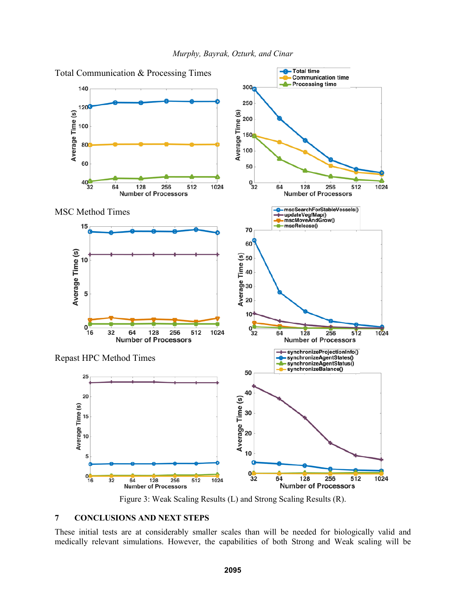



Figure 3: Weak Scaling Results (L) and Strong Scaling Results (R).

## **7 CONCLUSIONS AND NEXT STEPS**

These initial tests are at considerably smaller scales than will be needed for biologically valid and medically relevant simulations. However, the capabilities of both Strong and Weak scaling will be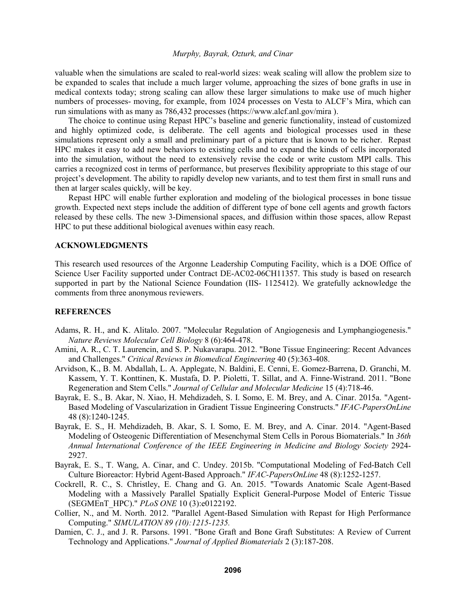valuable when the simulations are scaled to real-world sizes: weak scaling will allow the problem size to be expanded to scales that include a much larger volume, approaching the sizes of bone grafts in use in medical contexts today; strong scaling can allow these larger simulations to make use of much higher numbers of processes- moving, for example, from 1024 processes on Vesta to ALCF's Mira, which can run simulations with as many as 786,432 processes (https://www.alcf.anl.gov/mira ).

The choice to continue using Repast HPC's baseline and generic functionality, instead of customized and highly optimized code, is deliberate. The cell agents and biological processes used in these simulations represent only a small and preliminary part of a picture that is known to be richer. Repast HPC makes it easy to add new behaviors to existing cells and to expand the kinds of cells incorporated into the simulation, without the need to extensively revise the code or write custom MPI calls. This carries a recognized cost in terms of performance, but preserves flexibility appropriate to this stage of our project's development. The ability to rapidly develop new variants, and to test them first in small runs and then at larger scales quickly, will be key.

Repast HPC will enable further exploration and modeling of the biological processes in bone tissue growth. Expected next steps include the addition of different type of bone cell agents and growth factors released by these cells. The new 3-Dimensional spaces, and diffusion within those spaces, allow Repast HPC to put these additional biological avenues within easy reach.

### **ACKNOWLEDGMENTS**

This research used resources of the Argonne Leadership Computing Facility, which is a DOE Office of Science User Facility supported under Contract DE-AC02-06CH11357. This study is based on research supported in part by the National Science Foundation (IIS- 1125412). We gratefully acknowledge the comments from three anonymous reviewers.

### **REFERENCES**

- Adams, R. H., and K. Alitalo. 2007. "Molecular Regulation of Angiogenesis and Lymphangiogenesis." *Nature Reviews Molecular Cell Biology* 8 (6):464-478.
- Amini, A. R., C. T. Laurencin, and S. P. Nukavarapu. 2012. "Bone Tissue Engineering: Recent Advances and Challenges." *Critical Reviews in Biomedical Engineering* 40 (5):363-408.
- Arvidson, K., B. M. Abdallah, L. A. Applegate, N. Baldini, E. Cenni, E. Gomez-Barrena, D. Granchi, M. Kassem, Y. T. Konttinen, K. Mustafa, D. P. Pioletti, T. Sillat, and A. Finne-Wistrand. 2011. "Bone Regeneration and Stem Cells." *Journal of Cellular and Molecular Medicine* 15 (4):718-46.
- Bayrak, E. S., B. Akar, N. Xiao, H. Mehdizadeh, S. I. Somo, E. M. Brey, and A. Cinar. 2015a. "Agent-Based Modeling of Vascularization in Gradient Tissue Engineering Constructs." *IFAC-PapersOnLine* 48 (8):1240-1245.
- Bayrak, E. S., H. Mehdizadeh, B. Akar, S. I. Somo, E. M. Brey, and A. Cinar. 2014. "Agent-Based Modeling of Osteogenic Differentiation of Mesenchymal Stem Cells in Porous Biomaterials." In *36th Annual International Conference of the IEEE Engineering in Medicine and Biology Society* 2924- 2927.
- Bayrak, E. S., T. Wang, A. Cinar, and C. Undey. 2015b. "Computational Modeling of Fed-Batch Cell Culture Bioreactor: Hybrid Agent-Based Approach." *IFAC-PapersOnLine* 48 (8):1252-1257.
- Cockrell, R. C., S. Christley, E. Chang and G. An. 2015. "Towards Anatomic Scale Agent-Based Modeling with a Massively Parallel Spatially Explicit General-Purpose Model of Enteric Tissue (SEGMEnT\_HPC)." *PLoS ONE* 10 (3):e0122192.
- Collier, N., and M. North. 2012. "Parallel Agent-Based Simulation with Repast for High Performance Computing." *SIMULATION 89 (10):1215-1235.*
- Damien, C. J., and J. R. Parsons. 1991. "Bone Graft and Bone Graft Substitutes: A Review of Current Technology and Applications." *Journal of Applied Biomaterials* 2 (3):187-208.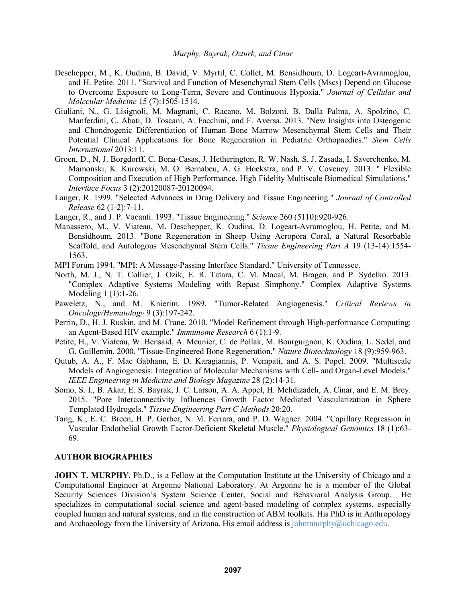- Deschepper, M., K. Oudina, B. David, V. Myrtil, C. Collet, M. Bensidhoum, D. Logeart-Avramoglou, and H. Petite. 2011. "Survival and Function of Mesenchymal Stem Cells (Mscs) Depend on Glucose to Overcome Exposure to Long-Term, Severe and Continuous Hypoxia." *Journal of Cellular and Molecular Medicine* 15 (7):1505-1514.
- Giuliani, N., G. Lisignoli, M. Magnani, C. Racano, M. Bolzoni, B. Dalla Palma, A. Spolzino, C. Manferdini, C. Abati, D. Toscani, A. Facchini, and F. Aversa. 2013. "New Insights into Osteogenic and Chondrogenic Differentiation of Human Bone Marrow Mesenchymal Stem Cells and Their Potential Clinical Applications for Bone Regeneration in Pediatric Orthopaedics." *Stem Cells International* 2013:11.
- Groen, D., N, J. Borgdorff, C. Bona-Casas, J. Hetherington, R. W. Nash, S. J. Zasada, I. Saverchenko, M. Mamonski, K. Kurowski, M. O. Bernabeu, A. G. Hoekstra, and P. V. Coveney. 2013. " Flexible Composition and Execution of High Performance, High Fidelity Multiscale Biomedical Simulations." *Interface Focus* 3 (2):20120087-20120094.
- Langer, R. 1999. "Selected Advances in Drug Delivery and Tissue Engineering." *Journal of Controlled Release* 62 (1-2):7-11.
- Langer, R., and J. P. Vacanti. 1993. "Tissue Engineering." *Science* 260 (5110):920-926.
- Manassero, M., V. Viateau, M. Deschepper, K. Oudina, D. Logeart-Avramoglou, H. Petite, and M. Bensidhoum. 2013. "Bone Regeneration in Sheep Using Acropora Coral, a Natural Resorbable Scaffold, and Autologous Mesenchymal Stem Cells." *Tissue Engineering Part A* 19 (13-14):1554- 1563.
- MPI Forum 1994. "MPI: A Message-Passing Interface Standard." University of Tennessee.
- North, M. J., N. T. Collier, J. Ozik, E. R. Tatara, C. M. Macal, M. Bragen, and P. Sydelko. 2013. "Complex Adaptive Systems Modeling with Repast Simphony." Complex Adaptive Systems Modeling 1 (1):1-26.
- Paweletz, N., and M. Knierim. 1989. "Tumor-Related Angiogenesis." *Critical Reviews in Oncology/Hematology* 9 (3):197-242.
- Perrin, D., H. J. Ruskin, and M. Crane. 2010. "Model Refinement through High-performance Computing: an Agent-Based HIV example." *Immunome Research* 6 (1):1-9.
- Petite, H., V. Viateau, W. Bensaid, A. Meunier, C. de Pollak, M. Bourguignon, K. Oudina, L. Sedel, and G. Guillemin. 2000. "Tissue-Engineered Bone Regeneration." *Nature Biotechnology* 18 (9):959-963.
- Qutub, A. A., F. Mac Gabhann, E. D. Karagiannis, P. Vempati, and A. S. Popel. 2009. "Multiscale Models of Angiogenesis: Integration of Molecular Mechanisms with Cell- and Organ-Level Models." *IEEE Engineering in Medicine and Biology Magazine* 28 (2):14-31.
- Somo, S. I., B. Akar, E. S. Bayrak, J. C. Larson, A. A. Appel, H. Mehdizadeh, A. Cinar, and E. M. Brey. 2015. "Pore Interconnectivity Influences Growth Factor Mediated Vascularization in Sphere Templated Hydrogels." *Tissue Engineering Part C Methods* 20:20.
- Tang, K., E. C. Breen, H. P. Gerber, N. M. Ferrara, and P. D. Wagner. 2004. "Capillary Regression in Vascular Endothelial Growth Factor-Deficient Skeletal Muscle." *Physiological Genomics* 18 (1):63- 69.

### **AUTHOR BIOGRAPHIES**

**JOHN T. MURPHY**, Ph.D., is a Fellow at the Computation Institute at the University of Chicago and a Computational Engineer at Argonne National Laboratory. At Argonne he is a member of the Global Security Sciences Division's System Science Center, Social and Behavioral Analysis Group. He specializes in computational social science and agent-based modeling of complex systems, especially coupled human and natural systems, and in the construction of ABM toolkits. His PhD is in Anthropology and Archaeology from the University of Arizona. His email address is johntmurphy@uchicago.edu.